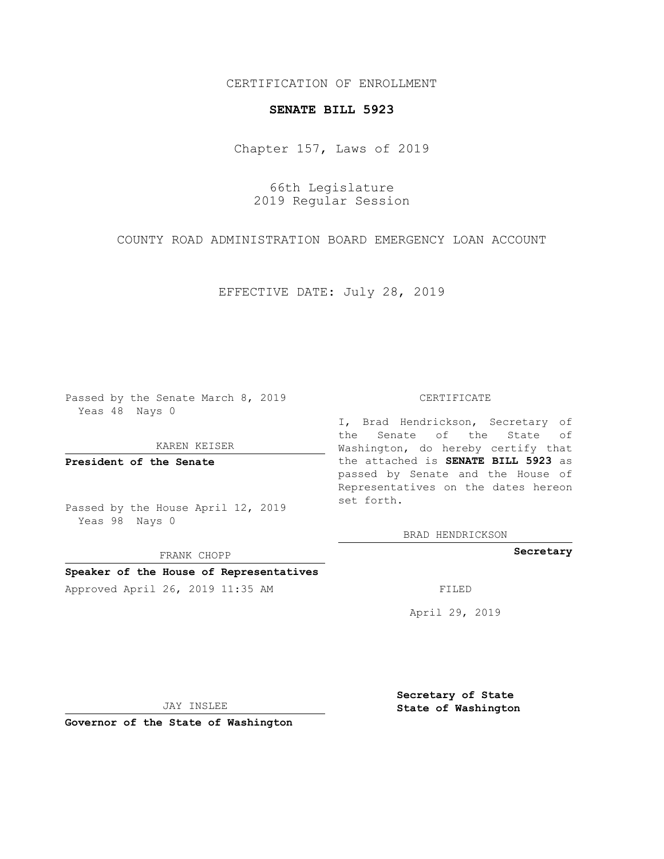CERTIFICATION OF ENROLLMENT

## **SENATE BILL 5923**

Chapter 157, Laws of 2019

66th Legislature 2019 Regular Session

COUNTY ROAD ADMINISTRATION BOARD EMERGENCY LOAN ACCOUNT

EFFECTIVE DATE: July 28, 2019

Passed by the Senate March 8, 2019 Yeas 48 Nays 0

KAREN KEISER

**President of the Senate**

Passed by the House April 12, 2019 Yeas 98 Nays 0

FRANK CHOPP

## **Speaker of the House of Representatives**

Approved April 26, 2019 11:35 AM FILED

## CERTIFICATE

I, Brad Hendrickson, Secretary of the Senate of the State of Washington, do hereby certify that the attached is **SENATE BILL 5923** as passed by Senate and the House of Representatives on the dates hereon set forth.

BRAD HENDRICKSON

**Secretary**

April 29, 2019

JAY INSLEE

**Governor of the State of Washington**

**Secretary of State State of Washington**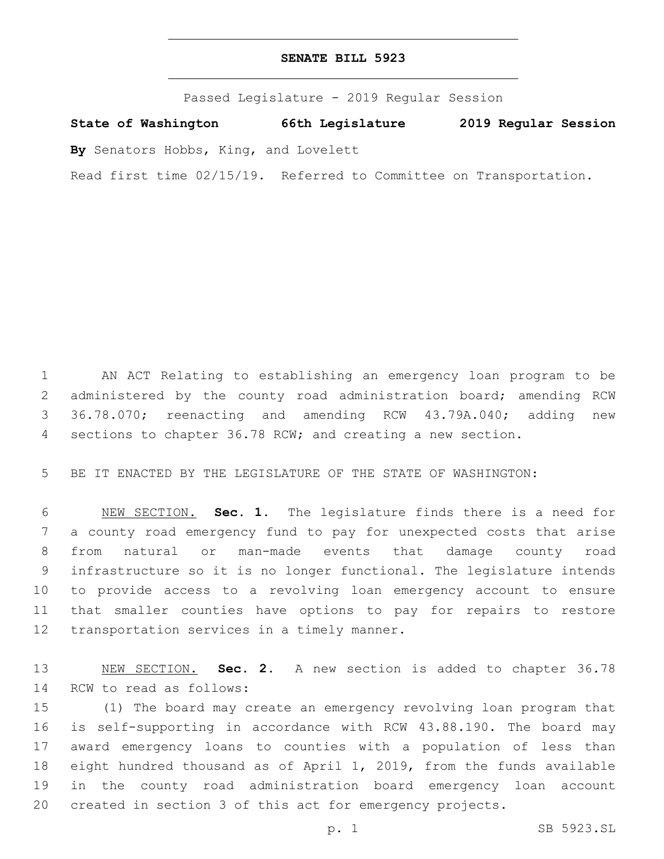## **SENATE BILL 5923**

Passed Legislature - 2019 Regular Session

**State of Washington 66th Legislature 2019 Regular Session**

**By** Senators Hobbs, King, and Lovelett

Read first time 02/15/19. Referred to Committee on Transportation.

 AN ACT Relating to establishing an emergency loan program to be administered by the county road administration board; amending RCW 36.78.070; reenacting and amending RCW 43.79A.040; adding new sections to chapter 36.78 RCW; and creating a new section.

BE IT ENACTED BY THE LEGISLATURE OF THE STATE OF WASHINGTON:

 NEW SECTION. **Sec. 1.** The legislature finds there is a need for a county road emergency fund to pay for unexpected costs that arise from natural or man-made events that damage county road infrastructure so it is no longer functional. The legislature intends to provide access to a revolving loan emergency account to ensure that smaller counties have options to pay for repairs to restore transportation services in a timely manner.

 NEW SECTION. **Sec. 2.** A new section is added to chapter 36.78 14 RCW to read as follows:

 (1) The board may create an emergency revolving loan program that is self-supporting in accordance with RCW 43.88.190. The board may award emergency loans to counties with a population of less than eight hundred thousand as of April 1, 2019, from the funds available in the county road administration board emergency loan account created in section 3 of this act for emergency projects.

p. 1 SB 5923.SL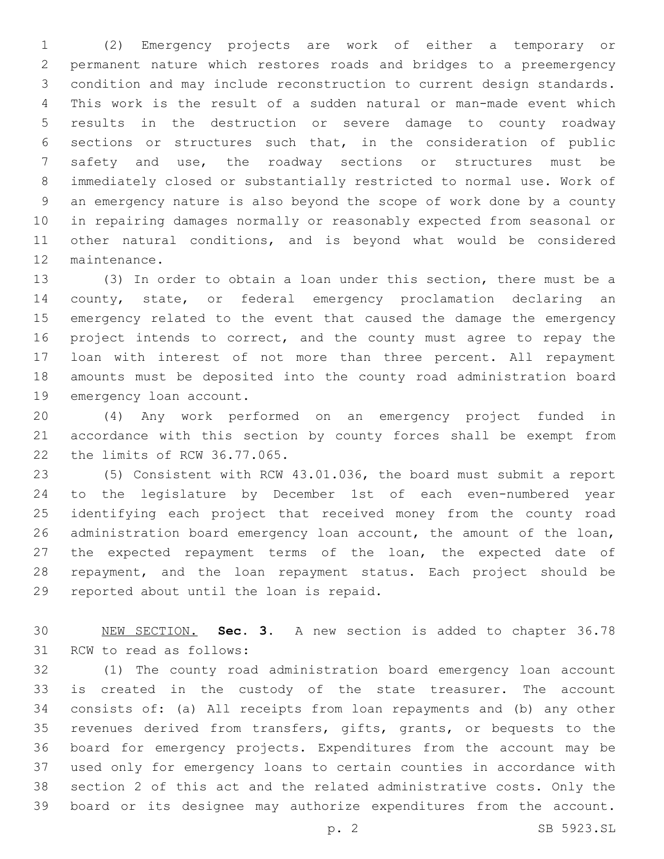(2) Emergency projects are work of either a temporary or permanent nature which restores roads and bridges to a preemergency condition and may include reconstruction to current design standards. This work is the result of a sudden natural or man-made event which results in the destruction or severe damage to county roadway sections or structures such that, in the consideration of public safety and use, the roadway sections or structures must be immediately closed or substantially restricted to normal use. Work of an emergency nature is also beyond the scope of work done by a county in repairing damages normally or reasonably expected from seasonal or other natural conditions, and is beyond what would be considered 12 maintenance.

 (3) In order to obtain a loan under this section, there must be a county, state, or federal emergency proclamation declaring an emergency related to the event that caused the damage the emergency project intends to correct, and the county must agree to repay the loan with interest of not more than three percent. All repayment amounts must be deposited into the county road administration board 19 emergency loan account.

 (4) Any work performed on an emergency project funded in accordance with this section by county forces shall be exempt from 22 the limits of RCW 36.77.065.

 (5) Consistent with RCW 43.01.036, the board must submit a report to the legislature by December 1st of each even-numbered year identifying each project that received money from the county road administration board emergency loan account, the amount of the loan, the expected repayment terms of the loan, the expected date of repayment, and the loan repayment status. Each project should be 29 reported about until the loan is repaid.

 NEW SECTION. **Sec. 3.** A new section is added to chapter 36.78 31 RCW to read as follows:

 (1) The county road administration board emergency loan account is created in the custody of the state treasurer. The account consists of: (a) All receipts from loan repayments and (b) any other revenues derived from transfers, gifts, grants, or bequests to the board for emergency projects. Expenditures from the account may be used only for emergency loans to certain counties in accordance with section 2 of this act and the related administrative costs. Only the board or its designee may authorize expenditures from the account.

p. 2 SB 5923.SL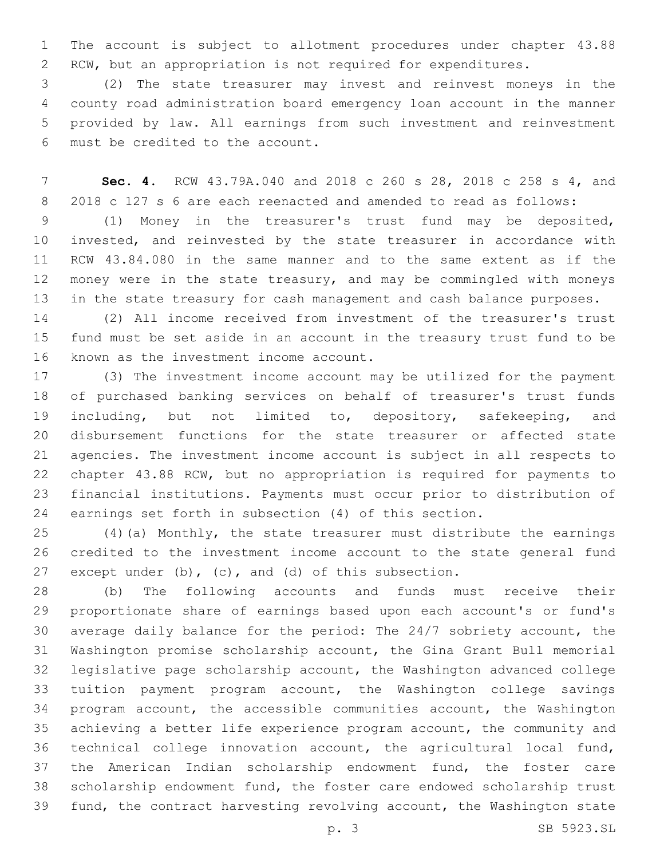The account is subject to allotment procedures under chapter 43.88 RCW, but an appropriation is not required for expenditures.

 (2) The state treasurer may invest and reinvest moneys in the county road administration board emergency loan account in the manner provided by law. All earnings from such investment and reinvestment must be credited to the account.6

 **Sec. 4.** RCW 43.79A.040 and 2018 c 260 s 28, 2018 c 258 s 4, and 2018 c 127 s 6 are each reenacted and amended to read as follows:

 (1) Money in the treasurer's trust fund may be deposited, invested, and reinvested by the state treasurer in accordance with RCW 43.84.080 in the same manner and to the same extent as if the money were in the state treasury, and may be commingled with moneys in the state treasury for cash management and cash balance purposes.

 (2) All income received from investment of the treasurer's trust fund must be set aside in an account in the treasury trust fund to be 16 known as the investment income account.

 (3) The investment income account may be utilized for the payment of purchased banking services on behalf of treasurer's trust funds 19 including, but not limited to, depository, safekeeping, and disbursement functions for the state treasurer or affected state agencies. The investment income account is subject in all respects to chapter 43.88 RCW, but no appropriation is required for payments to financial institutions. Payments must occur prior to distribution of earnings set forth in subsection (4) of this section.

 (4)(a) Monthly, the state treasurer must distribute the earnings credited to the investment income account to the state general fund except under (b), (c), and (d) of this subsection.

 (b) The following accounts and funds must receive their proportionate share of earnings based upon each account's or fund's average daily balance for the period: The 24/7 sobriety account, the Washington promise scholarship account, the Gina Grant Bull memorial legislative page scholarship account, the Washington advanced college tuition payment program account, the Washington college savings program account, the accessible communities account, the Washington achieving a better life experience program account, the community and technical college innovation account, the agricultural local fund, the American Indian scholarship endowment fund, the foster care scholarship endowment fund, the foster care endowed scholarship trust fund, the contract harvesting revolving account, the Washington state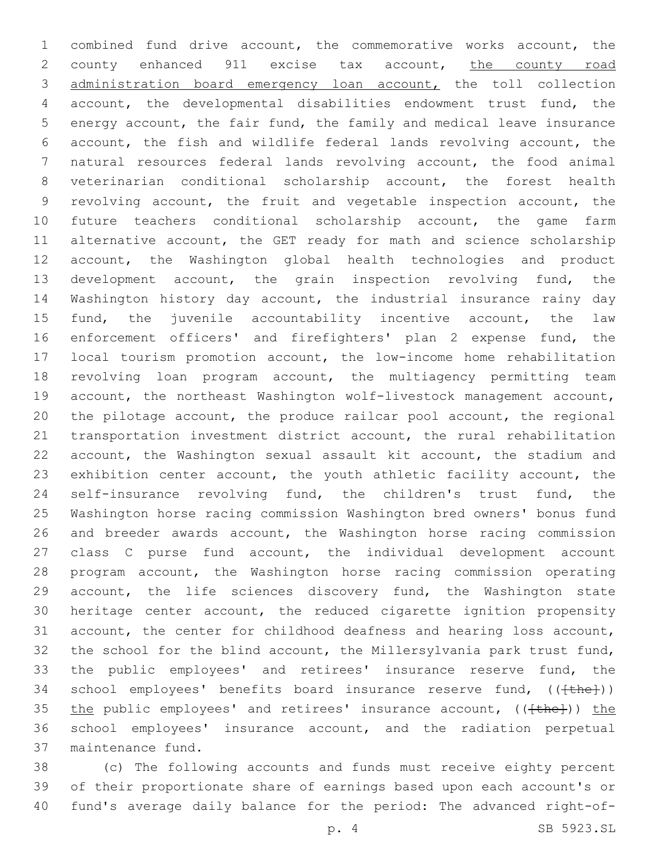combined fund drive account, the commemorative works account, the 2 county enhanced 911 excise tax account, the county road administration board emergency loan account, the toll collection account, the developmental disabilities endowment trust fund, the energy account, the fair fund, the family and medical leave insurance account, the fish and wildlife federal lands revolving account, the natural resources federal lands revolving account, the food animal veterinarian conditional scholarship account, the forest health revolving account, the fruit and vegetable inspection account, the future teachers conditional scholarship account, the game farm 11 alternative account, the GET ready for math and science scholarship account, the Washington global health technologies and product development account, the grain inspection revolving fund, the Washington history day account, the industrial insurance rainy day fund, the juvenile accountability incentive account, the law enforcement officers' and firefighters' plan 2 expense fund, the local tourism promotion account, the low-income home rehabilitation revolving loan program account, the multiagency permitting team account, the northeast Washington wolf-livestock management account, the pilotage account, the produce railcar pool account, the regional transportation investment district account, the rural rehabilitation account, the Washington sexual assault kit account, the stadium and exhibition center account, the youth athletic facility account, the self-insurance revolving fund, the children's trust fund, the Washington horse racing commission Washington bred owners' bonus fund and breeder awards account, the Washington horse racing commission class C purse fund account, the individual development account program account, the Washington horse racing commission operating account, the life sciences discovery fund, the Washington state heritage center account, the reduced cigarette ignition propensity account, the center for childhood deafness and hearing loss account, the school for the blind account, the Millersylvania park trust fund, the public employees' and retirees' insurance reserve fund, the 34 school employees' benefits board insurance reserve fund,  $((\text{the})))$ 35 the public employees' and retirees' insurance account,  $((+the+)')$  the school employees' insurance account, and the radiation perpetual 37 maintenance fund.

 (c) The following accounts and funds must receive eighty percent of their proportionate share of earnings based upon each account's or fund's average daily balance for the period: The advanced right-of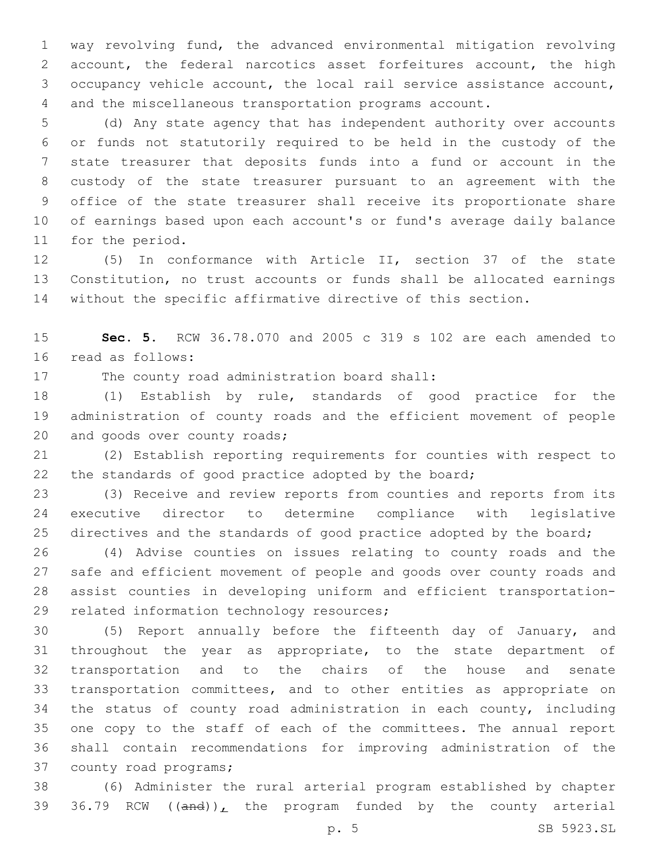way revolving fund, the advanced environmental mitigation revolving account, the federal narcotics asset forfeitures account, the high occupancy vehicle account, the local rail service assistance account, and the miscellaneous transportation programs account.

 (d) Any state agency that has independent authority over accounts or funds not statutorily required to be held in the custody of the state treasurer that deposits funds into a fund or account in the custody of the state treasurer pursuant to an agreement with the office of the state treasurer shall receive its proportionate share of earnings based upon each account's or fund's average daily balance 11 for the period.

 (5) In conformance with Article II, section 37 of the state Constitution, no trust accounts or funds shall be allocated earnings without the specific affirmative directive of this section.

 **Sec. 5.** RCW 36.78.070 and 2005 c 319 s 102 are each amended to 16 read as follows:

17 The county road administration board shall:

 (1) Establish by rule, standards of good practice for the administration of county roads and the efficient movement of people 20 and goods over county roads;

 (2) Establish reporting requirements for counties with respect to 22 the standards of good practice adopted by the board;

 (3) Receive and review reports from counties and reports from its executive director to determine compliance with legislative 25 directives and the standards of good practice adopted by the board;

 (4) Advise counties on issues relating to county roads and the safe and efficient movement of people and goods over county roads and assist counties in developing uniform and efficient transportation-29 related information technology resources;

 (5) Report annually before the fifteenth day of January, and throughout the year as appropriate, to the state department of transportation and to the chairs of the house and senate transportation committees, and to other entities as appropriate on the status of county road administration in each county, including one copy to the staff of each of the committees. The annual report shall contain recommendations for improving administration of the 37 county road programs;

 (6) Administer the rural arterial program established by chapter 39 36.79 RCW  $((and))_L$  the program funded by the county arterial

p. 5 SB 5923.SL